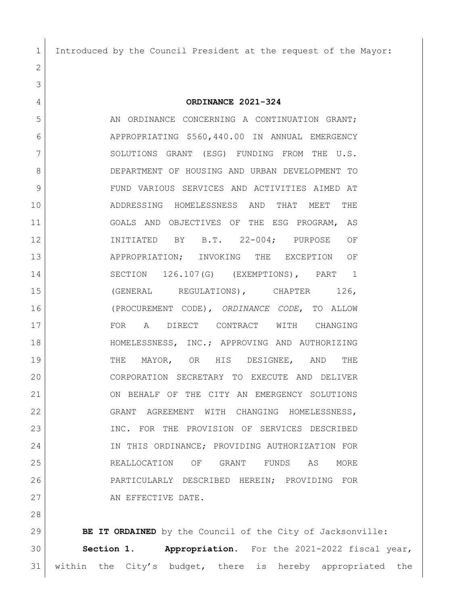Introduced by the Council President at the request of the Mayor:

**ORDINANCE 2021-324**

5 AN ORDINANCE CONCERNING A CONTINUATION GRANT; APPROPRIATING \$560,440.00 IN ANNUAL EMERGENCY 7 SOLUTIONS GRANT (ESG) FUNDING FROM THE U.S. DEPARTMENT OF HOUSING AND URBAN DEVELOPMENT TO FUND VARIOUS SERVICES AND ACTIVITIES AIMED AT ADDRESSING HOMELESSNESS AND THAT MEET THE GOALS AND OBJECTIVES OF THE ESG PROGRAM, AS INITIATED BY B.T. 22-004; PURPOSE OF APPROPRIATION; INVOKING THE EXCEPTION OF SECTION 126.107(G) (EXEMPTIONS), PART 1 15 (GENERAL REGULATIONS), CHAPTER 126, (PROCUREMENT CODE), *ORDINANCE CODE*, TO ALLOW FOR A DIRECT CONTRACT WITH CHANGING HOMELESSNESS, INC.; APPROVING AND AUTHORIZING THE MAYOR, OR HIS DESIGNEE, AND THE CORPORATION SECRETARY TO EXECUTE AND DELIVER ON BEHALF OF THE CITY AN EMERGENCY SOLUTIONS GRANT AGREEMENT WITH CHANGING HOMELESSNESS, 23 INC. FOR THE PROVISION OF SERVICES DESCRIBED IN THIS ORDINANCE; PROVIDING AUTHORIZATION FOR REALLOCATION OF GRANT FUNDS AS MORE PARTICULARLY DESCRIBED HEREIN; PROVIDING FOR 27 AN EFFECTIVE DATE.

 **BE IT ORDAINED** by the Council of the City of Jacksonville: **Section 1. Appropriation.** For the 2021-2022 fiscal year, 31 within the City's budget, there is hereby appropriated the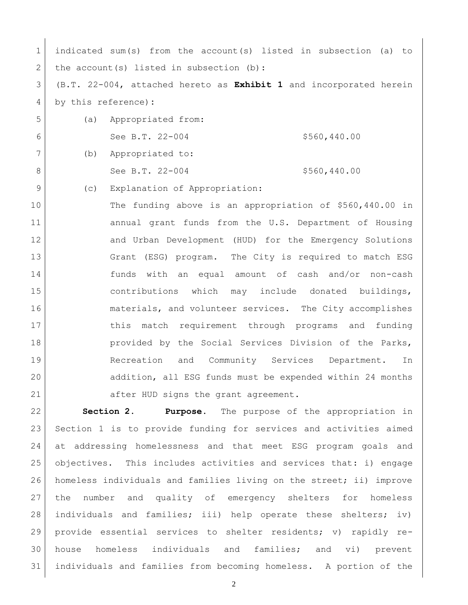indicated sum(s) from the account(s) listed in subsection (a) to 2 the account (s) listed in subsection  $(b)$ : (B.T. 22-004, attached hereto as **Exhibit 1** and incorporated herein by this reference)**:** (a) Appropriated from: 6 See B.T.  $22-004$  \$560,440.00 (b) Appropriated to: 8 See B.T. 22-004 \$560,440.00 9 (c) Explanation of Appropriation: The funding above is an appropriation of \$560,440.00 in 11 annual grant funds from the U.S. Department of Housing 12 and Urban Development (HUD) for the Emergency Solutions Grant (ESG) program. The City is required to match ESG funds with an equal amount of cash and/or non-cash contributions which may include donated buildings, 16 materials, and volunteer services. The City accomplishes 17 17 this match requirement through programs and funding **provided by the Social Services Division of the Parks,** 19 Recreation and Community Services Department. In addition, all ESG funds must be expended within 24 months 21 after HUD signs the grant agreement.

 **Section 2. Purpose**. The purpose of the appropriation in Section 1 is to provide funding for services and activities aimed at addressing homelessness and that meet ESG program goals and objectives. This includes activities and services that: i) engage homeless individuals and families living on the street; ii) improve the number and quality of emergency shelters for homeless individuals and families; iii) help operate these shelters; iv) provide essential services to shelter residents; v) rapidly re- house homeless individuals and families; and vi) prevent individuals and families from becoming homeless. A portion of the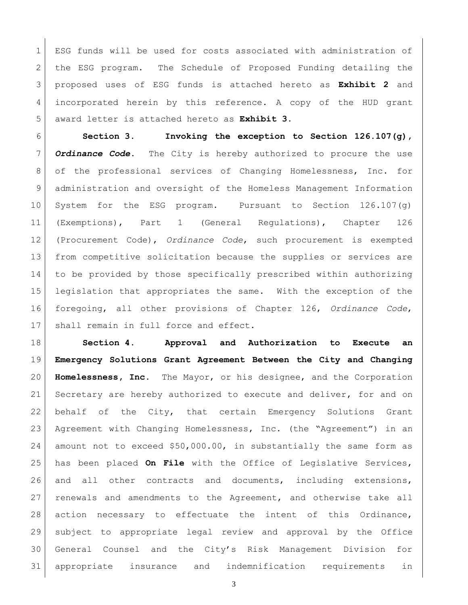ESG funds will be used for costs associated with administration of 2 | the ESG program. The Schedule of Proposed Funding detailing the proposed uses of ESG funds is attached hereto as **Exhibit 2** and incorporated herein by this reference. A copy of the HUD grant award letter is attached hereto as **Exhibit 3**.

 **Section 3. Invoking the exception to Section 126.107(g),**  *Ordinance Code***.** The City is hereby authorized to procure the use of the professional services of Changing Homelessness, Inc. for administration and oversight of the Homeless Management Information System for the ESG program. Pursuant to Section 126.107(g) (Exemptions), Part 1 (General Regulations), Chapter 126 (Procurement Code), *Ordinance Code*, such procurement is exempted from competitive solicitation because the supplies or services are to be provided by those specifically prescribed within authorizing legislation that appropriates the same. With the exception of the foregoing, all other provisions of Chapter 126, *Ordinance Code*, 17 shall remain in full force and effect.

 **Section 4. Approval and Authorization to Execute an Emergency Solutions Grant Agreement Between the City and Changing Homelessness, Inc.** The Mayor, or his designee, and the Corporation 21 Secretary are hereby authorized to execute and deliver, for and on 22 behalf of the City, that certain Emergency Solutions Grant Agreement with Changing Homelessness, Inc. (the "Agreement") in an amount not to exceed \$50,000.00, in substantially the same form as has been placed **On File** with the Office of Legislative Services, 26 and all other contracts and documents, including extensions, renewals and amendments to the Agreement, and otherwise take all action necessary to effectuate the intent of this Ordinance, subject to appropriate legal review and approval by the Office General Counsel and the City's Risk Management Division for appropriate insurance and indemnification requirements in